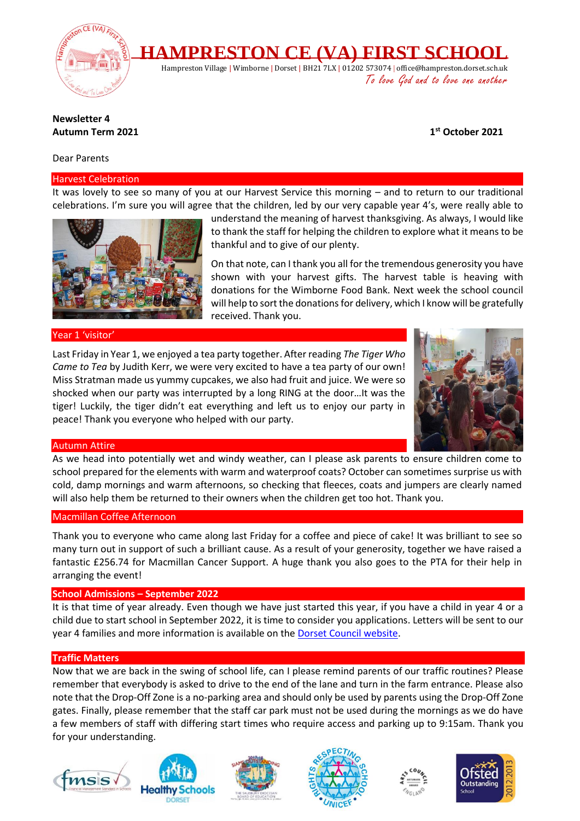

## **Newsletter 4 Autumn Term 2021 1**

## Dear Parents

#### Harvest Celebration

It was lovely to see so many of you at our Harvest Service this morning – and to return to our traditional celebrations. I'm sure you will agree that the children, led by our very capable year 4's, were really able to



understand the meaning of harvest thanksgiving. As always, I would like to thank the staff for helping the children to explore what it means to be thankful and to give of our plenty.

On that note, can I thank you all for the tremendous generosity you have shown with your harvest gifts. The harvest table is heaving with donations for the Wimborne Food Bank. Next week the school council will help to sort the donations for delivery, which I know will be gratefully received. Thank you.

## Year 1 'visitor'

Last Friday in Year 1, we enjoyed a tea party together. After reading *The Tiger Who Came to Tea* by Judith Kerr, we were very excited to have a tea party of our own! Miss Stratman made us yummy cupcakes, we also had fruit and juice. We were so shocked when our party was interrupted by a long RING at the door…It was the tiger! Luckily, the tiger didn't eat everything and left us to enjoy our party in peace! Thank you everyone who helped with our party.



**st October 2021**

## Autumn Attire

As we head into potentially wet and windy weather, can I please ask parents to ensure children come to school prepared for the elements with warm and waterproof coats? October can sometimes surprise us with cold, damp mornings and warm afternoons, so checking that fleeces, coats and jumpers are clearly named will also help them be returned to their owners when the children get too hot. Thank you.

#### Macmillan Coffee Afternoon

Thank you to everyone who came along last Friday for a coffee and piece of cake! It was brilliant to see so many turn out in support of such a brilliant cause. As a result of your generosity, together we have raised a fantastic £256.74 for Macmillan Cancer Support. A huge thank you also goes to the PTA for their help in arranging the event!

## **School Admissions – September 2022**

It is that time of year already. Even though we have just started this year, if you have a child in year 4 or a child due to start school in September 2022, it is time to consider you applications. Letters will be sent to our year 4 families and more information is available on the [Dorset Council website.](https://www.dorsetcouncil.gov.uk/education-and-training/schools-and-learning/apply-for-a-school-place/apply-for-a-school-place)

## **Traffic Matters**

Now that we are back in the swing of school life, can I please remind parents of our traffic routines? Please remember that everybody is asked to drive to the end of the lane and turn in the farm entrance. Please also note that the Drop-Off Zone is a no-parking area and should only be used by parents using the Drop-Off Zone gates. Finally, please remember that the staff car park must not be used during the mornings as we do have a few members of staff with differing start times who require access and parking up to 9:15am. Thank you for your understanding.











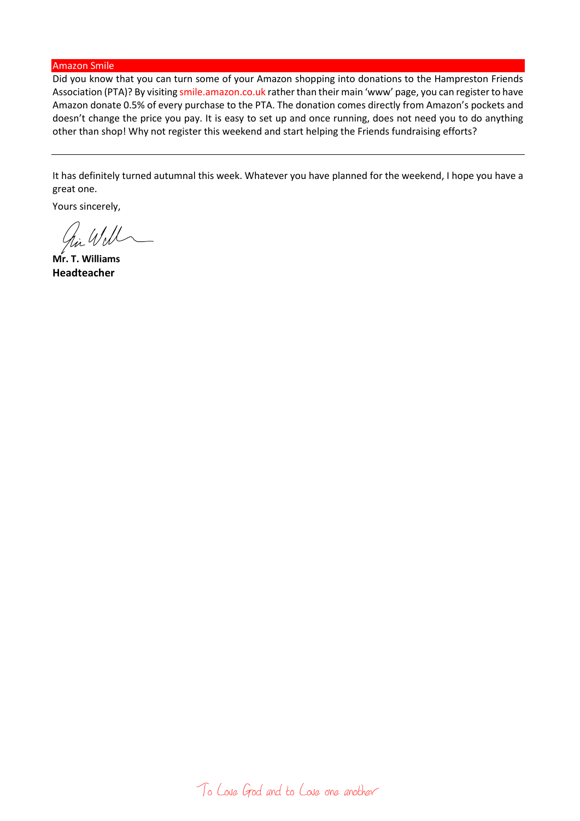#### Amazon Smile

Did you know that you can turn some of your Amazon shopping into donations to the Hampreston Friends Association (PTA)? By visiting smile.amazon.co.uk rather than their main 'www' page, you can register to have Amazon donate 0.5% of every purchase to the PTA. The donation comes directly from Amazon's pockets and doesn't change the price you pay. It is easy to set up and once running, does not need you to do anything other than shop! Why not register this weekend and start helping the Friends fundraising efforts?

It has definitely turned autumnal this week. Whatever you have planned for the weekend, I hope you have a great one.

Yours sincerely,

hi Will

**Mr. T. Williams Headteacher**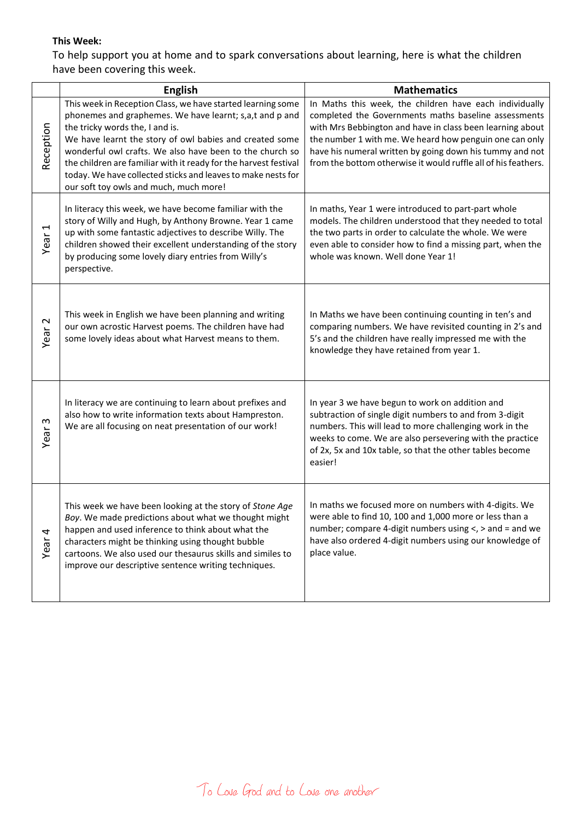# **This Week:**

To help support you at home and to spark conversations about learning, here is what the children have been covering this week.

|                                  | <b>English</b>                                                                                                                                                                                                                                                                                                                                                                                                                                                 | <b>Mathematics</b>                                                                                                                                                                                                                                                                                                                                                    |
|----------------------------------|----------------------------------------------------------------------------------------------------------------------------------------------------------------------------------------------------------------------------------------------------------------------------------------------------------------------------------------------------------------------------------------------------------------------------------------------------------------|-----------------------------------------------------------------------------------------------------------------------------------------------------------------------------------------------------------------------------------------------------------------------------------------------------------------------------------------------------------------------|
| Reception                        | This week in Reception Class, we have started learning some<br>phonemes and graphemes. We have learnt; s,a,t and p and<br>the tricky words the, I and is.<br>We have learnt the story of owl babies and created some<br>wonderful owl crafts. We also have been to the church so<br>the children are familiar with it ready for the harvest festival<br>today. We have collected sticks and leaves to make nests for<br>our soft toy owls and much, much more! | In Maths this week, the children have each individually<br>completed the Governments maths baseline assessments<br>with Mrs Bebbington and have in class been learning about<br>the number 1 with me. We heard how penguin one can only<br>have his numeral written by going down his tummy and not<br>from the bottom otherwise it would ruffle all of his feathers. |
| Year <sub>1</sub>                | In literacy this week, we have become familiar with the<br>story of Willy and Hugh, by Anthony Browne. Year 1 came<br>up with some fantastic adjectives to describe Willy. The<br>children showed their excellent understanding of the story<br>by producing some lovely diary entries from Willy's<br>perspective.                                                                                                                                            | In maths, Year 1 were introduced to part-part whole<br>models. The children understood that they needed to total<br>the two parts in order to calculate the whole. We were<br>even able to consider how to find a missing part, when the<br>whole was known. Well done Year 1!                                                                                        |
| Year <sub>2</sub>                | This week in English we have been planning and writing<br>our own acrostic Harvest poems. The children have had<br>some lovely ideas about what Harvest means to them.                                                                                                                                                                                                                                                                                         | In Maths we have been continuing counting in ten's and<br>comparing numbers. We have revisited counting in 2's and<br>5's and the children have really impressed me with the<br>knowledge they have retained from year 1.                                                                                                                                             |
| $\boldsymbol{\varsigma}$<br>Year | In literacy we are continuing to learn about prefixes and<br>also how to write information texts about Hampreston.<br>We are all focusing on neat presentation of our work!                                                                                                                                                                                                                                                                                    | In year 3 we have begun to work on addition and<br>subtraction of single digit numbers to and from 3-digit<br>numbers. This will lead to more challenging work in the<br>weeks to come. We are also persevering with the practice<br>of 2x, 5x and 10x table, so that the other tables become<br>easier!                                                              |
| Year <sub>4</sub>                | This week we have been looking at the story of Stone Age<br>Boy. We made predictions about what we thought might<br>happen and used inference to think about what the<br>characters might be thinking using thought bubble<br>cartoons. We also used our thesaurus skills and similes to<br>improve our descriptive sentence writing techniques.                                                                                                               | In maths we focused more on numbers with 4-digits. We<br>were able to find 10, 100 and 1,000 more or less than a<br>number; compare 4-digit numbers using $\lt$ , $>$ and $=$ and we<br>have also ordered 4-digit numbers using our knowledge of<br>place value.                                                                                                      |